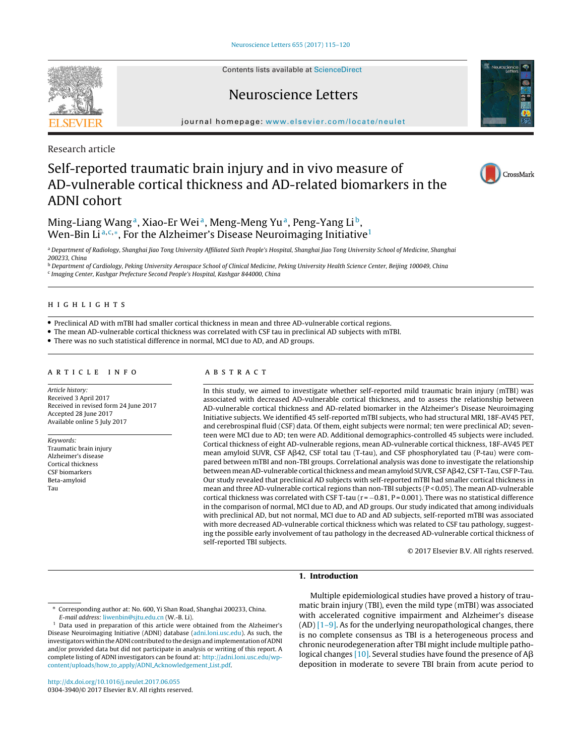Contents lists available at [ScienceDirect](http://www.sciencedirect.com/science/journal/03043940)

# Neuroscience Letters

iournal homepage: [www.elsevier.com/locate/neulet](http://www.elsevier.com/locate/neulet)

Research article

# Self-reported traumatic brain injury and in vivo measure of AD-vulnerable cortical thickness and AD-related biomarkers in the ADNI cohort

Ming-Liang Wang<sup>a</sup>, Xiao-Er Wei<sup>a</sup>, Meng-Meng Yu<sup>a</sup>, Peng-Yang Li<sup>b</sup>, Wen-Bin Li<sup>a,c,\*</sup>, For the Alzheimer's Disease Neuroimaging Initiative<sup>1</sup>

a Department of Radiology, Shanghai Jiao Tong University Affiliated Sixth People's Hospital, Shanghai Jiao Tong University School of Medicine, Shanghai 200233, China

<sup>b</sup> Department of Cardiology, Peking University Aerospace School of Clinical Medicine, Peking University Health Science Center, Beijing 100049, China

<sup>c</sup> Imaging Center, Kashgar Prefecture Second People's Hospital, Kashgar 844000, China

# **HIGHLIGHTS**

• Preclinical AD with mTBI had smaller cortical thickness in mean and three AD-vulnerable cortical regions.

• The mean AD-vulnerable cortical thickness was correlated with CSF tau in preclinical AD subjects with mTBI.

• There was no such statistical difference in normal, MCI due to AD, and AD groups.

Article history: Received 3 April 2017 Received in revised form 24 June 2017 Accepted 28 June 2017 Available online 5 July 2017

Keywords: Traumatic brain injury Alzheimer's disease Cortical thickness CSF biomarkers Beta-amyloid Tau

# ARSTRACT

In this study, we aimed to investigate whether self-reported mild traumatic brain injury (mTBI) was associated with decreased AD-vulnerable cortical thickness, and to assess the relationship between AD-vulnerable cortical thickness and AD-related biomarker in the Alzheimer's Disease Neuroimaging Initiative subjects. We identified 45 self-reported mTBI subjects, who had structural MRI, 18F-AV45 PET, and cerebrospinal fluid (CSF) data. Of them, eight subjects were normal; ten were preclinical AD; seventeen were MCI due to AD; ten were AD. Additional demographics-controlled 45 subjects were included. Cortical thickness of eight AD-vulnerable regions, mean AD-vulnerable cortical thickness, 18F-AV45 PET mean amyloid SUVR, CSF Aβ42, CSF total tau (T-tau), and CSF phosphorylated tau (P-tau) were compared between mTBI and non-TBI groups. Correlational analysis was done to investigate the relationship between mean AD-vulnerable cortical thickness and mean amyloid SUVR, CSF A $\beta$ 42, CSF T-Tau, CSF P-Tau. Our study revealed that preclinical AD subjects with self-reported mTBI had smaller cortical thickness in mean and three AD-vulnerable cortical regions than non-TBI subjects (P < 0.05). The mean AD-vulnerable cortical thickness was correlated with CSF T-tau ( $r = -0.81$ , P = 0.001). There was no statistical difference in the comparison of normal, MCI due to AD, and AD groups. Our study indicated that among individuals with preclinical AD, but not normal, MCI due to AD and AD subjects, self-reported mTBI was associated with more decreased AD-vulnerable cortical thickness which was related to CSF tau pathology, suggesting the possible early involvement of tau pathology in the decreased AD-vulnerable cortical thickness of self-reported TBI subjects.

© 2017 Elsevier B.V. All rights reserved.

# **1. Introduction**

Multiple epidemiological studies have proved a history of traumatic brain injury (TBI), even the mild type (mTBI) was associated with accelerated cognitive impairment and Alzheimer's disease  $(AD)$   $[1-9]$ . As for the underlying neuropathological changes, there is no complete consensus as TBI is a heterogeneous process and chronic neurodegeneration after TBI might include multiple patho-logical changes [\[10\].](#page-4-0) Several studies have found the presence of A $\beta$ deposition in moderate to severe TBI brain from acute period to







Corresponding author at: No. 600, Yi Shan Road, Shanghai 200233, China. E-mail address: [liwenbin@sjtu.edu.cn](mailto:liwenbin@sjtu.edu.cn) (W.-B. Li).

Data used in preparation of this article were obtained from the Alzheimer's Disease Neuroimaging Initiative (ADNI) database ([adni.loni.usc.edu](http://adni.loni.usc.edu)). As such, the investigators within the ADNI contributed to the design and implementation of ADNI and/or provided data but did not participate in analysis or writing of this report. A complete listing of ADNI investigators can be found at: [http://adni.loni.usc.edu/wp](http://adni.loni.usc.edu/wp-content/uploads/how_to_apply/ADNI_Acknowledgement_List.pdf)[content/uploads/how](http://adni.loni.usc.edu/wp-content/uploads/how_to_apply/ADNI_Acknowledgement_List.pdf) [to](http://adni.loni.usc.edu/wp-content/uploads/how_to_apply/ADNI_Acknowledgement_List.pdf) [apply/ADNI](http://adni.loni.usc.edu/wp-content/uploads/how_to_apply/ADNI_Acknowledgement_List.pdf) [Acknowledgement](http://adni.loni.usc.edu/wp-content/uploads/how_to_apply/ADNI_Acknowledgement_List.pdf) [List.pdf.](http://adni.loni.usc.edu/wp-content/uploads/how_to_apply/ADNI_Acknowledgement_List.pdf)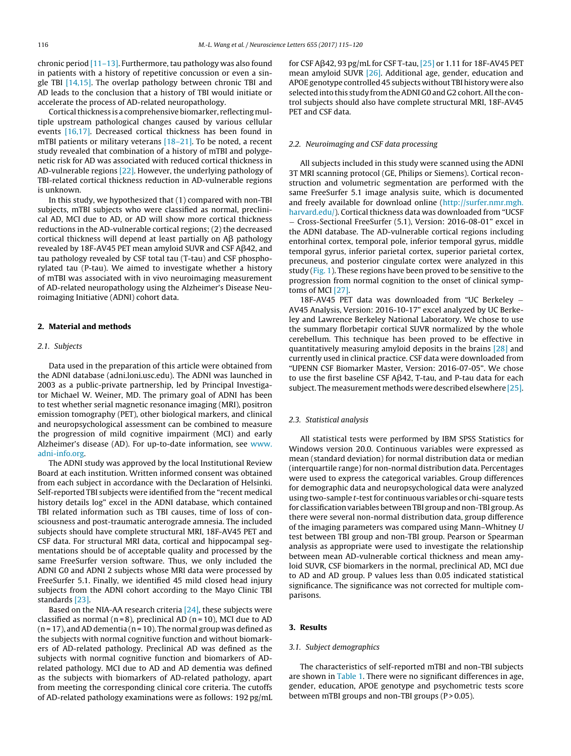chronic period  $[11–13]$ . Furthermore, tau pathology was also found in patients with a history of repetitive concussion or even a single TBI [\[14,15\].](#page-4-0) The overlap pathology between chronic TBI and AD leads to the conclusion that a history of TBI would initiate or accelerate the process of AD-related neuropathology.

Cortical thickness is a comprehensive biomarker, reflecting multiple upstream pathological changes caused by various cellular events [\[16,17\].](#page-4-0) Decreased cortical thickness has been found in mTBI patients or military veterans [\[18–21\].](#page-5-0) To be noted, a recent study revealed that combination of a history of mTBI and polygenetic risk for AD was associated with reduced cortical thickness in AD-vulnerable regions [\[22\].](#page-5-0) However, the underlying pathology of TBI-related cortical thickness reduction in AD-vulnerable regions is unknown.

In this study, we hypothesized that (1) compared with non-TBI subjects, mTBI subjects who were classified as normal, preclinical AD, MCI due to AD, or AD will show more cortical thickness reductions in the AD-vulnerable cortical regions; (2) the decreased cortical thickness will depend at least partially on A $\beta$  pathology revealed by 18F-AV45 PET mean amyloid SUVR and CSF Aβ42, and tau pathology revealed by CSF total tau (T-tau) and CSF phosphorylated tau (P-tau). We aimed to investigate whether a history of mTBI was associated with in vivo neuroimaging measurement of AD-related neuropathology using the Alzheimer's Disease Neuroimaging Initiative (ADNI) cohort data.

# **2. Material and methods**

#### 2.1. Subjects

Data used in the preparation of this article were obtained from the ADNI database (adni.loni.usc.edu). The ADNI was launched in 2003 as a public-private partnership, led by Principal Investigator Michael W. Weiner, MD. The primary goal of ADNI has been to test whether serial magnetic resonance imaging (MRI), positron emission tomography (PET), other biological markers, and clinical and neuropsychological assessment can be combined to measure the progression of mild cognitive impairment (MCI) and early Alzheimer's disease (AD). For up-to-date information, see [www.](http://www.adni-info.org) [adni-info.org.](http://www.adni-info.org)

The ADNI study was approved by the local Institutional Review Board at each institution. Written informed consent was obtained from each subject in accordance with the Declaration of Helsinki. Self-reported TBI subjects were identified from the "recent medical history details log" excel in the ADNI database, which contained TBI related information such as TBI causes, time of loss of consciousness and post-traumatic anterograde amnesia. The included subjects should have complete structural MRI, 18F-AV45 PET and CSF data. For structural MRI data, cortical and hippocampal segmentations should be of acceptable quality and processed by the same FreeSurfer version software. Thus, we only included the ADNI G0 and ADNI 2 subjects whose MRI data were processed by FreeSurfer 5.1. Finally, we identified 45 mild closed head injury subjects from the ADNI cohort according to the Mayo Clinic TBI standards [\[23\].](#page-5-0)

Based on the NIA-AA research criteria [\[24\],](#page-5-0) these subjects were classified as normal ( $n = 8$ ), preclinical AD ( $n = 10$ ), MCI due to AD  $(n = 17)$ , and AD dementia  $(n = 10)$ . The normal group was defined as the subjects with normal cognitive function and without biomarkers of AD-related pathology. Preclinical AD was defined as the subjects with normal cognitive function and biomarkers of ADrelated pathology. MCI due to AD and AD dementia was defined as the subjects with biomarkers of AD-related pathology, apart from meeting the corresponding clinical core criteria. The cutoffs of AD-related pathology examinations were as follows: 192 pg/mL

for CSF Aβ42, 93 pg/mL for CSF T-tau, [\[25\]](#page-5-0) or 1.11 for 18F-AV45 PET mean amyloid SUVR [\[26\].](#page-5-0) Additional age, gender, education and APOE genotype controlled 45 subjects without TBI history were also selected into this study from the ADNI G0 and G2 cohort. All the control subjects should also have complete structural MRI, 18F-AV45 PET and CSF data.

#### 2.2. Neuroimaging and CSF data processing

All subjects included in this study were scanned using the ADNI 3T MRI scanning protocol (GE, Philips or Siemens). Cortical reconstruction and volumetric segmentation are performed with the same FreeSurfer 5.1 image analysis suite, which is documented and freely available for download online [\(http://surfer.nmr.mgh.](http://surfer.nmr.mgh.harvard.edu/) [harvard.edu/](http://surfer.nmr.mgh.harvard.edu/)). Cortical thickness data was downloaded from "UCSF − Cross-Sectional FreeSurfer (5.1), Version: 2016-08-01" excel in the ADNI database. The AD-vulnerable cortical regions including entorhinal cortex, temporal pole, inferior temporal gyrus, middle temporal gyrus, inferior parietal cortex, superior parietal cortex, precuneus, and posterior cingulate cortex were analyzed in this study [\(Fig.](#page-2-0) 1). These regions have been proved to be sensitive to the progression from normal cognition to the onset of clinical symptoms of MCI [\[27\].](#page-5-0)

18F-AV45 PET data was downloaded from "UC Berkeley − AV45 Analysis, Version: 2016-10-17" excel analyzed by UC Berkeley and Lawrence Berkeley National Laboratory. We chose to use the summary florbetapir cortical SUVR normalized by the whole cerebellum. This technique has been proved to be effective in quantitatively measuring amyloid deposits in the brains [\[28\]](#page-5-0) and currently used in clinical practice. CSF data were downloaded from "UPENN CSF Biomarker Master, Version: 2016-07-05". We chose to use the first baseline CSF A $\beta$ 42, T-tau, and P-tau data for each subject. The measurement methods were described elsewhere [\[25\].](#page-5-0)

#### 2.3. Statistical analysis

All statistical tests were performed by IBM SPSS Statistics for Windows version 20.0. Continuous variables were expressed as mean (standard deviation) for normal distribution data or median (interquartile range) for non-normal distribution data. Percentages were used to express the categorical variables. Group differences for demographic data and neuropsychological data were analyzed using two-sample *t*-test for continuous variables or chi-square tests for classification variables between TBI group and non-TBI group. As there were several non-normal distribution data, group difference of the imaging parameters was compared using Mann–Whitney U test between TBI group and non-TBI group. Pearson or Spearman analysis as appropriate were used to investigate the relationship between mean AD-vulnerable cortical thickness and mean amyloid SUVR, CSF biomarkers in the normal, preclinical AD, MCI due to AD and AD group. P values less than 0.05 indicated statistical significance. The significance was not corrected for multiple comparisons.

### **3. Results**

#### 3.1. Subject demographics

The characteristics of self-reported mTBI and non-TBI subjects are shown in [Table](#page-2-0) 1. There were no significant differences in age, gender, education, APOE genotype and psychometric tests score between mTBI groups and non-TBI groups ( $P > 0.05$ ).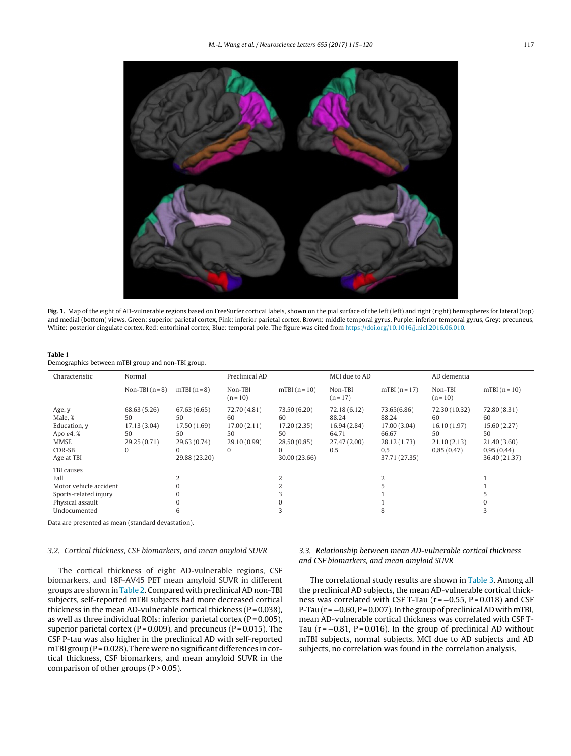<span id="page-2-0"></span>

Fig. 1. Map of the eight of AD-vulnerable regions based on FreeSurfer cortical labels, shown on the pial surface of the left (left) and right (right) hemispheres for lateral (top) and medial (bottom) views. Green: superior parietal cortex, Pink: inferior parietal cortex, Brown: middle temporal gyrus, Purple: inferior temporal gyrus, Grey: precuneus, White: posterior cingulate cortex, Red: entorhinal cortex, Blue: temporal pole. The figure was cited from <https://doi.org/10.1016/j.nicl.2016.06.010>.

| $\sim$<br>. . |  |
|---------------|--|
|---------------|--|

Demographics between mTBI group and non-TBI group.

| Characteristic                                                                                            | Normal                                                        |                                                                                | Preclinical AD                                                      |                                                                               | MCI due to AD                                                         |                                                                                       | AD dementia                                                            |                                                                                         |
|-----------------------------------------------------------------------------------------------------------|---------------------------------------------------------------|--------------------------------------------------------------------------------|---------------------------------------------------------------------|-------------------------------------------------------------------------------|-----------------------------------------------------------------------|---------------------------------------------------------------------------------------|------------------------------------------------------------------------|-----------------------------------------------------------------------------------------|
|                                                                                                           | Non-TBI $(n=8)$                                               | $mTBI(n=8)$                                                                    | Non-TBI<br>$(n = 10)$                                               | $mTBI(n=10)$                                                                  | Non-TBI<br>$(n = 17)$                                                 | mTBI $(n=17)$                                                                         | Non-TBI<br>$(n = 10)$                                                  | $mTBI(n=10)$                                                                            |
| Age, y<br>Male, %<br>Education, y<br>Apo $\varepsilon$ 4, %<br><b>MMSE</b><br>CDR-SB<br>Age at TBI        | 68.63 (5.26)<br>50<br>17.13 (3.04)<br>50<br>29.25 (0.71)<br>0 | 67.63 (6.65)<br>50<br>17.50 (1.69)<br>50<br>29.63 (0.74)<br>0<br>29.88 (23.20) | 72.70 (4.81)<br>60<br>17.00(2.11)<br>50<br>29.10 (0.99)<br>$\Omega$ | 73.50 (6.20)<br>60<br>17.20(2.35)<br>50<br>28.50 (0.85)<br>0<br>30.00 (23.66) | 72.18 (6.12)<br>88.24<br>16.94 (2.84)<br>64.71<br>27.47 (2.00)<br>0.5 | 73.65(6.86)<br>88.24<br>17.00 (3.04)<br>66.67<br>28.12 (1.73)<br>0.5<br>37.71 (27.35) | 72.30 (10.32)<br>60<br>16.10 (1.97)<br>50<br>21.10(2.13)<br>0.85(0.47) | 72.80 (8.31)<br>60<br>15.60 (2.27)<br>50<br>21.40 (3.60)<br>0.95(0.44)<br>36.40 (21.37) |
| TBI causes<br>Fall<br>Motor vehicle accident<br>Sports-related injury<br>Physical assault<br>Undocumented |                                                               | 6                                                                              |                                                                     |                                                                               |                                                                       |                                                                                       |                                                                        |                                                                                         |

Data are presented as mean (standard devastation).

# 3.2. Cortical thickness, CSF biomarkers, and mean amyloid SUVR

The cortical thickness of eight AD-vulnerable regions, CSF biomarkers, and 18F-AV45 PET mean amyloid SUVR in different groups are shown in [Table](#page-3-0) 2. Compared with preclinical AD non-TBI subjects, self-reported mTBI subjects had more decreased cortical thickness in the mean AD-vulnerable cortical thickness ( $P = 0.038$ ), as well as three individual ROIs: inferior parietal cortex ( $P = 0.005$ ), superior parietal cortex ( $P = 0.009$ ), and precuneus ( $P = 0.015$ ). The CSF P-tau was also higher in the preclinical AD with self-reported  $m$ TBI group (P = 0.028). There were no significant differences in cortical thickness, CSF biomarkers, and mean amyloid SUVR in the comparison of other groups  $(P > 0.05)$ .

# 3.3. Relationship between mean AD-vulnerable cortical thickness and CSF biomarkers, and mean amyloid SUVR

The correlational study results are shown in [Table](#page-3-0) 3. Among all the preclinical AD subjects, the mean AD-vulnerable cortical thickness was correlated with CSF T-Tau ( $r = -0.55$ ,  $P = 0.018$ ) and CSF P-Tau ( $r = -0.60$ , P = 0.007). In the group of preclinical AD with mTBI, mean AD-vulnerable cortical thickness was correlated with CSF T-Tau ( $r = -0.81$ , P = 0.016). In the group of preclinical AD without mTBI subjects, normal subjects, MCI due to AD subjects and AD subjects, no correlation was found in the correlation analysis.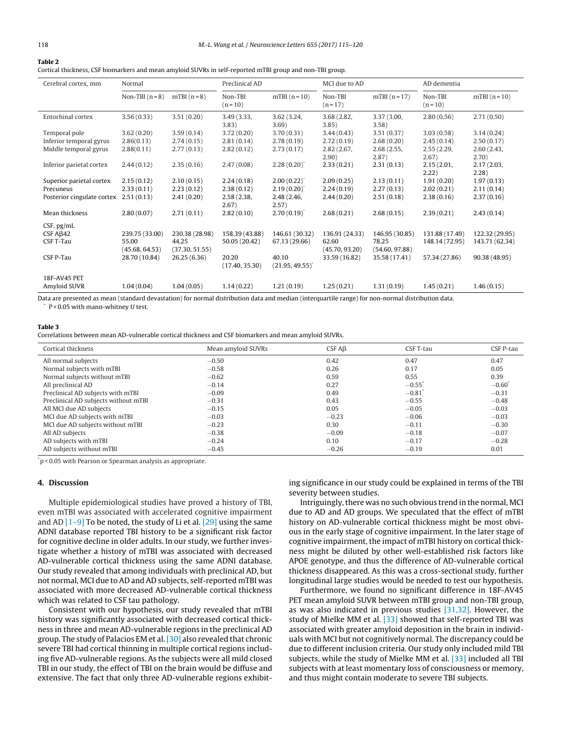# <span id="page-3-0"></span>**Table 2**

| Cortical thickness, CSF biomarkers and mean amyloid SUVRs in self-reported mTBI group and non-TBI group. |  |  |  |
|----------------------------------------------------------------------------------------------------------|--|--|--|
|----------------------------------------------------------------------------------------------------------|--|--|--|

| Cerebral cortex, mm        | Normal                  |                         | Preclinical AD          |                         | MCI due to AD           |                         | AD dementia           |                     |
|----------------------------|-------------------------|-------------------------|-------------------------|-------------------------|-------------------------|-------------------------|-----------------------|---------------------|
|                            | Non-TBI $(n=8)$         | $mTBI(n=8)$             | Non-TBI<br>$(n = 10)$   | $mTBI(n=10)$            | Non-TBI<br>$(n = 17)$   | mTBI $(n=17)$           | Non-TBI<br>$(n = 10)$ | $mTBI(n=10)$        |
| Entorhinal cortex          | 3.56(0.33)              | 3.51(0.20)              | 3.49 (3.33,<br>3.83)    | 3.62 (3.24,<br>3.69)    | 3.68 (2.82,<br>3.85)    | 3.37 (3.00,<br>3.58)    | 2.80(0.56)            | 2.71(0.50)          |
| Temporal pole              | 3.62(0.20)              | 3.59(0.14)              | 3.72(0.20)              | 3.70(0.31)              | 3.44(0.43)              | 3.51(0.37)              | 3.03(0.58)            | 3.14(0.24)          |
| Inferior temporal gyrus    | 2.86(0.13)              | 2.74(0.15)              | 2.81(0.14)              | 2.78(0.19)              | 2.72(0.19)              | 2.68(0.20)              | 2.45(0.14)            | 2.50(0.17)          |
| Middle temporal gyrus      | 2.88(0.11)              | 2.77(0.13)              | 2.82(0.12)              | 2.73(0.17)              | 2.82(2.67,<br>2.90)     | 2.68(2.55,<br>2.87)     | 2.55(2.29,<br>2.67)   | 2.60(2.43,<br>2.70) |
| Inferior parietal cortex   | 2.44(0.12)              | 2.35(0.16)              | 2.47(0.08)              | 2.28(0.20)              | 2.33(0.21)              | 2.31(0.13)              | 2.15(2.01,<br>2.22)   | 2.17(2.03,<br>2.28) |
| Superior parietal cortex   | 2.15(0.12)              | 2.10(0.15)              | 2.24(0.18)              | 2.00(0.22)              | 2.09(0.25)              | 2.13(0.11)              | 1.91(0.20)            | 1.97(0.13)          |
| Precuneus                  | 2.33(0.11)              | 2.23(0.12)              | 2.38(0.12)              | 2.19(0.20)              | 2.24(0.19)              | 2.27(0.13)              | 2.02(0.21)            | 2.11(0.14)          |
| Posterior cingulate cortex | 2.51(0.13)              | 2.41(0.20)              | 2.58 (2.38,<br>2.67)    | 2.48 (2.46,<br>2.57)    | 2.44(0.20)              | 2.51(0.18)              | 2.38(0.16)            | 2.37(0.16)          |
| Mean thickness             | 2.80(0.07)              | 2.71(0.11)              | 2.82(0.10)              | 2.70(0.19)              | 2.68(0.21)              | 2.68(0.15)              | 2.39(0.21)            | 2.43(0.14)          |
| $CSF$ , $pg/mL$            |                         |                         |                         |                         |                         |                         |                       |                     |
| CSF $A\beta$ 42            | 239.75 (33.00)          | 230.38 (28.98)          | 158.39 (43.88)          | 146.61 (30.32)          | 136.91 (24.33)          | 146.95 (30.85)          | 131.88 (17.49)        | 122.32 (29.95)      |
| CSF T-Tau                  | 55.00<br>(45.68, 64.53) | 44.25<br>(37.30, 51.55) | 50.05 (20.42)           | 67.13 (29.66)           | 62.60<br>(45.70, 93.20) | 78.25<br>(54.60, 97.88) | 148.14 (72.95)        | 143.71 (62.34)      |
| CSF P-Tau                  | 28.70 (10.84)           | 26.25 (6.36)            | 20.20<br>(17.40, 35.30) | 40.10<br>(21.95, 49.55) | 33.59 (16.82)           | 35.58 (17.41)           | 57.34 (27.86)         | 90.38 (48.95)       |
| 18F-AV45 PET               |                         |                         |                         |                         |                         |                         |                       |                     |
| Amyloid SUVR               | 1.04(0.04)              | 1.04(0.05)              | 1.14(0.22)              | 1.21(0.19)              | 1.25(0.21)              | 1.31(0.19)              | 1.45(0.21)            | 1.46(0.15)          |

Data are presented as mean (standard devastation) for normal distribution data and median (interquartile range) for non-normal distribution data.  $P < 0.05$  with mann-whitney U test.

#### **Table 3**

Correlations between mean AD-vulnerable cortical thickness and CSF biomarkers and mean amyloid SUVRs.

| Cortical thickness                   | Mean amyloid SUVRs | CSFAB   | CSF T-tau | CSF P-tau |
|--------------------------------------|--------------------|---------|-----------|-----------|
| All normal subjects                  | $-0.50$            | 0.42    | 0.47      | 0.47      |
| Normal subjects with mTBI            | $-0.58$            | 0.26    | 0.17      | 0.05      |
| Normal subjects without mTBI         | $-0.62$            | 0.59    | 0.55      | 0.39      |
| All preclinical AD                   | $-0.14$            | 0.27    | $-0.55$   | $-0.60^*$ |
| Preclinical AD subjects with mTBI    | $-0.09$            | 0.49    | $-0.81$   | $-0.31$   |
| Preclinical AD subjects without mTBI | $-0.31$            | 0.43    | $-0.55$   | $-0.48$   |
| All MCI due AD subjects              | $-0.15$            | 0.05    | $-0.05$   | $-0.03$   |
| MCI due AD subjects with mTBI        | $-0.03$            | $-0.23$ | $-0.06$   | $-0.03$   |
| MCI due AD subjects without mTBI     | $-0.23$            | 0.30    | $-0.11$   | $-0.30$   |
| All AD subjects                      | $-0.38$            | $-0.09$ | $-0.18$   | $-0.07$   |
| AD subjects with mTBI                | $-0.24$            | 0.10    | $-0.17$   | $-0.28$   |
| AD subjects without mTBI             | $-0.45$            | $-0.26$ | $-0.19$   | 0.01      |

 $p$  < 0.05 with Pearson or Spearman analysis as appropriate.

#### **4. Discussion**

Multiple epidemiological studies have proved a history of TBI, even mTBI was associated with accelerated cognitive impairment and AD  $[1-9]$  To be noted, the study of Li et al.  $[29]$  using the same ADNI database reported TBI history to be a significant risk factor for cognitive decline in older adults. In our study, we further investigate whether a history of mTBI was associated with decreased AD-vulnerable cortical thickness using the same ADNI database. Our study revealed that among individuals with preclinical AD, but not normal, MCI due to AD and AD subjects, self-reported mTBI was associated with more decreased AD-vulnerable cortical thickness which was related to CSF tau pathology.

Consistent with our hypothesis, our study revealed that mTBI history was significantly associated with decreased cortical thickness in three and mean AD-vulnerable regions in the preclinical AD group. The study of Palacios EM et al.[\[30\]](#page-5-0) also revealed that chronic severe TBI had cortical thinning in multiple cortical regions including five AD-vulnerable regions. As the subjects were all mild closed TBI in our study, the effect of TBI on the brain would be diffuse and extensive. The fact that only three AD-vulnerable regions exhibiting significance in our study could be explained in terms of the TBI severity between studies.

Intriguingly, there was no such obvious trend in the normal, MCI due to AD and AD groups. We speculated that the effect of mTBI history on AD-vulnerable cortical thickness might be most obvious in the early stage of cognitive impairment. In the later stage of cognitive impairment, the impact of mTBI history on cortical thickness might be diluted by other well-established risk factors like APOE genotype, and thus the difference of AD-vulnerable cortical thickness disappeared. As this was a cross-sectional study, further longitudinal large studies would be needed to test our hypothesis.

Furthermore, we found no significant difference in 18F-AV45 PET mean amyloid SUVR between mTBI group and non-TBI group, as was also indicated in previous studies [\[31,32\].](#page-5-0) However, the study of Mielke MM et al. [\[33\]](#page-5-0) showed that self-reported TBI was associated with greater amyloid deposition in the brain in individuals with MCI but not cognitively normal. The discrepancy could be due to different inclusion criteria. Our study only included mild TBI subjects, while the study of Mielke MM et al. [\[33\]](#page-5-0) included all TBI subjects with at least momentary loss of consciousness or memory, and thus might contain moderate to severe TBI subjects.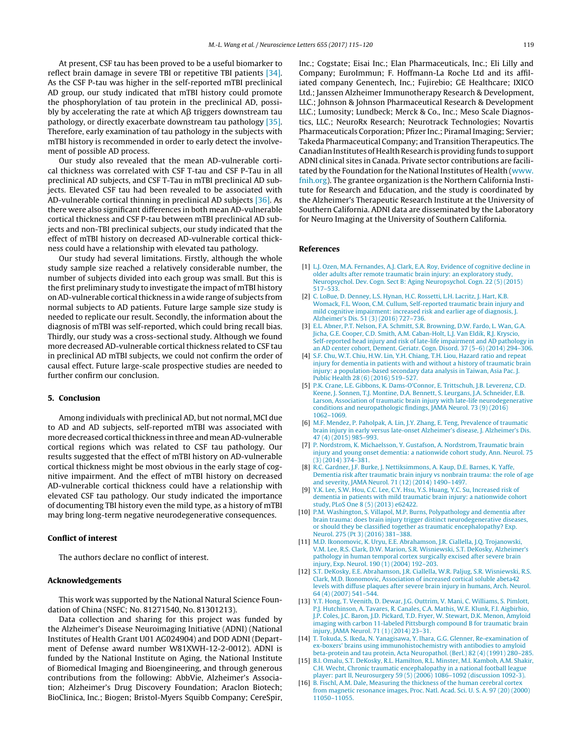<span id="page-4-0"></span>At present, CSF tau has been proved to be a useful biomarker to reflect brain damage in severe TBI or repetitive TBI patients [\[34\].](#page-5-0) As the CSF P-tau was higher in the self-reported mTBI preclinical AD group, our study indicated that mTBI history could promote the phosphorylation of tau protein in the preclinical AD, possibly by accelerating the rate at which A $\beta$  triggers downstream tau pathology, or directly exacerbate downstream tau pathology [\[35\].](#page-5-0) Therefore, early examination of tau pathology in the subjects with mTBI history is recommended in order to early detect the involvement of possible AD process.

Our study also revealed that the mean AD-vulnerable cortical thickness was correlated with CSF T-tau and CSF P-Tau in all preclinical AD subjects, and CSF T-Tau in mTBI preclinical AD subjects. Elevated CSF tau had been revealed to be associated with AD-vulnerable cortical thinning in preclinical AD subjects [\[36\].](#page-5-0) As there were also significant differences in both mean AD-vulnerable cortical thickness and CSF P-tau between mTBI preclinical AD subjects and non-TBI preclinical subjects, our study indicated that the effect of mTBI history on decreased AD-vulnerable cortical thickness could have a relationship with elevated tau pathology.

Our study had several limitations. Firstly, although the whole study sample size reached a relatively considerable number, the number of subjects divided into each group was small. But this is the first preliminary study to investigate the impact of mTBI history on AD-vulnerable cortical thickness in a wide range of subjects from normal subjects to AD patients. Future large sample size study is needed to replicate our result. Secondly, the information about the diagnosis of mTBI was self-reported, which could bring recall bias. Thirdly, our study was a cross-sectional study. Although we found more decreased AD-vulnerable cortical thickness related to CSF tau in preclinical AD mTBI subjects, we could not confirm the order of causal effect. Future large-scale prospective studies are needed to further confirm our conclusion.

## **5. Conclusion**

Among individuals with preclinical AD, but not normal, MCI due to AD and AD subjects, self-reported mTBI was associated with more decreased cortical thickness in three and mean AD-vulnerable cortical regions which was related to CSF tau pathology. Our results suggested that the effect of mTBI history on AD-vulnerable cortical thickness might be most obvious in the early stage of cognitive impairment. And the effect of mTBI history on decreased AD-vulnerable cortical thickness could have a relationship with elevated CSF tau pathology. Our study indicated the importance of documenting TBI history even the mild type, as a history of mTBI may bring long-term negative neurodegenerative consequences.

# **Conflict of interest**

The authors declare no conflict of interest.

#### **Acknowledgements**

This work was supported by the National Natural Science Foundation of China (NSFC; No. 81271540, No. 81301213).

Data collection and sharing for this project was funded by the Alzheimer's Disease Neuroimaging Initiative (ADNI) (National Institutes of Health Grant U01 AG024904) and DOD ADNI (Department of Defense award number W81XWH-12-2-0012). ADNI is funded by the National Institute on Aging, the National Institute of Biomedical Imaging and Bioengineering, and through generous contributions from the following: AbbVie, Alzheimer's Association; Alzheimer's Drug Discovery Foundation; Araclon Biotech; BioClinica, Inc.; Biogen; Bristol-Myers Squibb Company; CereSpir, Inc.; Cogstate; Eisai Inc.; Elan Pharmaceuticals, Inc.; Eli Lilly and Company; EuroImmun; F. Hoffmann-La Roche Ltd and its affiliated company Genentech, Inc.; Fujirebio; GE Healthcare; IXICO Ltd.; Janssen Alzheimer Immunotherapy Research & Development, LLC.; Johnson & Johnson Pharmaceutical Research & Development LLC.; Lumosity; Lundbeck; Merck & Co., Inc.; Meso Scale Diagnostics, LLC.; NeuroRx Research; Neurotrack Technologies; Novartis Pharmaceuticals Corporation; Pfizer Inc.; Piramal Imaging; Servier; Takeda Pharmaceutical Company; and Transition Therapeutics. The Canadian Institutes of Health Research is providing funds to support ADNI clinical sites in Canada. Private sector contributions are facilitated by the Foundation for the National Institutes of Health [\(www.](http://www.fnih.org) [fnih.org](http://www.fnih.org)). The grantee organization is the Northern California Institute for Research and Education, and the study is coordinated by the Alzheimer's Therapeutic Research Institute at the University of Southern California. ADNI data are disseminated by the Laboratory for Neuro Imaging at the University of Southern California.

#### **References**

- [1] [L.J.](http://refhub.elsevier.com/S0304-3940(17)30547-5/sbref0005) [Ozen,](http://refhub.elsevier.com/S0304-3940(17)30547-5/sbref0005) [M.A.](http://refhub.elsevier.com/S0304-3940(17)30547-5/sbref0005) [Fernandes,](http://refhub.elsevier.com/S0304-3940(17)30547-5/sbref0005) [A.J.](http://refhub.elsevier.com/S0304-3940(17)30547-5/sbref0005) [Clark,](http://refhub.elsevier.com/S0304-3940(17)30547-5/sbref0005) [E.A.](http://refhub.elsevier.com/S0304-3940(17)30547-5/sbref0005) [Roy,](http://refhub.elsevier.com/S0304-3940(17)30547-5/sbref0005) [Evidence](http://refhub.elsevier.com/S0304-3940(17)30547-5/sbref0005) [of](http://refhub.elsevier.com/S0304-3940(17)30547-5/sbref0005) [cognitive](http://refhub.elsevier.com/S0304-3940(17)30547-5/sbref0005) [decline](http://refhub.elsevier.com/S0304-3940(17)30547-5/sbref0005) [in](http://refhub.elsevier.com/S0304-3940(17)30547-5/sbref0005) [older](http://refhub.elsevier.com/S0304-3940(17)30547-5/sbref0005) [adults](http://refhub.elsevier.com/S0304-3940(17)30547-5/sbref0005) [after](http://refhub.elsevier.com/S0304-3940(17)30547-5/sbref0005) [remote](http://refhub.elsevier.com/S0304-3940(17)30547-5/sbref0005) [traumatic](http://refhub.elsevier.com/S0304-3940(17)30547-5/sbref0005) [brain](http://refhub.elsevier.com/S0304-3940(17)30547-5/sbref0005) [injury:](http://refhub.elsevier.com/S0304-3940(17)30547-5/sbref0005) [an](http://refhub.elsevier.com/S0304-3940(17)30547-5/sbref0005) [exploratory](http://refhub.elsevier.com/S0304-3940(17)30547-5/sbref0005) [study,](http://refhub.elsevier.com/S0304-3940(17)30547-5/sbref0005) [Neuropsychol.](http://refhub.elsevier.com/S0304-3940(17)30547-5/sbref0005) [Dev.](http://refhub.elsevier.com/S0304-3940(17)30547-5/sbref0005) [Cogn.](http://refhub.elsevier.com/S0304-3940(17)30547-5/sbref0005) [Sect](http://refhub.elsevier.com/S0304-3940(17)30547-5/sbref0005) [B:](http://refhub.elsevier.com/S0304-3940(17)30547-5/sbref0005) [Aging](http://refhub.elsevier.com/S0304-3940(17)30547-5/sbref0005) [Neuropsychol.](http://refhub.elsevier.com/S0304-3940(17)30547-5/sbref0005) [Cogn.](http://refhub.elsevier.com/S0304-3940(17)30547-5/sbref0005) [22](http://refhub.elsevier.com/S0304-3940(17)30547-5/sbref0005) [\(5\)](http://refhub.elsevier.com/S0304-3940(17)30547-5/sbref0005) [\(2015\)](http://refhub.elsevier.com/S0304-3940(17)30547-5/sbref0005) [517–533.](http://refhub.elsevier.com/S0304-3940(17)30547-5/sbref0005)
- [2] [C.](http://refhub.elsevier.com/S0304-3940(17)30547-5/sbref0010) [LoBue,](http://refhub.elsevier.com/S0304-3940(17)30547-5/sbref0010) [D.](http://refhub.elsevier.com/S0304-3940(17)30547-5/sbref0010) [Denney,](http://refhub.elsevier.com/S0304-3940(17)30547-5/sbref0010) [L.S.](http://refhub.elsevier.com/S0304-3940(17)30547-5/sbref0010) [Hynan,](http://refhub.elsevier.com/S0304-3940(17)30547-5/sbref0010) [H.C.](http://refhub.elsevier.com/S0304-3940(17)30547-5/sbref0010) [Rossetti,](http://refhub.elsevier.com/S0304-3940(17)30547-5/sbref0010) [L.H.](http://refhub.elsevier.com/S0304-3940(17)30547-5/sbref0010) [Lacritz,](http://refhub.elsevier.com/S0304-3940(17)30547-5/sbref0010) [J.](http://refhub.elsevier.com/S0304-3940(17)30547-5/sbref0010) [Hart,](http://refhub.elsevier.com/S0304-3940(17)30547-5/sbref0010) [K.B.](http://refhub.elsevier.com/S0304-3940(17)30547-5/sbref0010) [Womack,](http://refhub.elsevier.com/S0304-3940(17)30547-5/sbref0010) [F.L.](http://refhub.elsevier.com/S0304-3940(17)30547-5/sbref0010) [Woon,](http://refhub.elsevier.com/S0304-3940(17)30547-5/sbref0010) [C.M.](http://refhub.elsevier.com/S0304-3940(17)30547-5/sbref0010) [Cullum,](http://refhub.elsevier.com/S0304-3940(17)30547-5/sbref0010) [Self-reported](http://refhub.elsevier.com/S0304-3940(17)30547-5/sbref0010) [traumatic](http://refhub.elsevier.com/S0304-3940(17)30547-5/sbref0010) [brain](http://refhub.elsevier.com/S0304-3940(17)30547-5/sbref0010) [injury](http://refhub.elsevier.com/S0304-3940(17)30547-5/sbref0010) [and](http://refhub.elsevier.com/S0304-3940(17)30547-5/sbref0010) [mild](http://refhub.elsevier.com/S0304-3940(17)30547-5/sbref0010) [cognitive](http://refhub.elsevier.com/S0304-3940(17)30547-5/sbref0010) [impairment:](http://refhub.elsevier.com/S0304-3940(17)30547-5/sbref0010) [increased](http://refhub.elsevier.com/S0304-3940(17)30547-5/sbref0010) [risk](http://refhub.elsevier.com/S0304-3940(17)30547-5/sbref0010) [and](http://refhub.elsevier.com/S0304-3940(17)30547-5/sbref0010) [earlier](http://refhub.elsevier.com/S0304-3940(17)30547-5/sbref0010) [age](http://refhub.elsevier.com/S0304-3940(17)30547-5/sbref0010) [of](http://refhub.elsevier.com/S0304-3940(17)30547-5/sbref0010) [diagnosis,](http://refhub.elsevier.com/S0304-3940(17)30547-5/sbref0010) [J.](http://refhub.elsevier.com/S0304-3940(17)30547-5/sbref0010) [Alzheimer's](http://refhub.elsevier.com/S0304-3940(17)30547-5/sbref0010) [Dis.](http://refhub.elsevier.com/S0304-3940(17)30547-5/sbref0010) [51](http://refhub.elsevier.com/S0304-3940(17)30547-5/sbref0010) [\(3\)](http://refhub.elsevier.com/S0304-3940(17)30547-5/sbref0010) [\(2016\)](http://refhub.elsevier.com/S0304-3940(17)30547-5/sbref0010) [727–736.](http://refhub.elsevier.com/S0304-3940(17)30547-5/sbref0010)
- [3] [E.L.](http://refhub.elsevier.com/S0304-3940(17)30547-5/sbref0015) [Abner,](http://refhub.elsevier.com/S0304-3940(17)30547-5/sbref0015) [P.T.](http://refhub.elsevier.com/S0304-3940(17)30547-5/sbref0015) [Nelson,](http://refhub.elsevier.com/S0304-3940(17)30547-5/sbref0015) [F.A.](http://refhub.elsevier.com/S0304-3940(17)30547-5/sbref0015) [Schmitt,](http://refhub.elsevier.com/S0304-3940(17)30547-5/sbref0015) [S.R.](http://refhub.elsevier.com/S0304-3940(17)30547-5/sbref0015) [Browning,](http://refhub.elsevier.com/S0304-3940(17)30547-5/sbref0015) [D.W.](http://refhub.elsevier.com/S0304-3940(17)30547-5/sbref0015) [Fardo,](http://refhub.elsevier.com/S0304-3940(17)30547-5/sbref0015) [L.](http://refhub.elsevier.com/S0304-3940(17)30547-5/sbref0015) [Wan,](http://refhub.elsevier.com/S0304-3940(17)30547-5/sbref0015) [G.A.](http://refhub.elsevier.com/S0304-3940(17)30547-5/sbref0015) [Jicha,](http://refhub.elsevier.com/S0304-3940(17)30547-5/sbref0015) [G.E.](http://refhub.elsevier.com/S0304-3940(17)30547-5/sbref0015) [Cooper,](http://refhub.elsevier.com/S0304-3940(17)30547-5/sbref0015) [C.D.](http://refhub.elsevier.com/S0304-3940(17)30547-5/sbref0015) [Smith,](http://refhub.elsevier.com/S0304-3940(17)30547-5/sbref0015) [A.M.](http://refhub.elsevier.com/S0304-3940(17)30547-5/sbref0015) [Caban-Holt,](http://refhub.elsevier.com/S0304-3940(17)30547-5/sbref0015) [L.J.](http://refhub.elsevier.com/S0304-3940(17)30547-5/sbref0015) [Van](http://refhub.elsevier.com/S0304-3940(17)30547-5/sbref0015) [Eldik,](http://refhub.elsevier.com/S0304-3940(17)30547-5/sbref0015) [R.J.](http://refhub.elsevier.com/S0304-3940(17)30547-5/sbref0015) [Kryscio,](http://refhub.elsevier.com/S0304-3940(17)30547-5/sbref0015) [Self-reported](http://refhub.elsevier.com/S0304-3940(17)30547-5/sbref0015) [head](http://refhub.elsevier.com/S0304-3940(17)30547-5/sbref0015) [injury](http://refhub.elsevier.com/S0304-3940(17)30547-5/sbref0015) [and](http://refhub.elsevier.com/S0304-3940(17)30547-5/sbref0015) [risk](http://refhub.elsevier.com/S0304-3940(17)30547-5/sbref0015) [of](http://refhub.elsevier.com/S0304-3940(17)30547-5/sbref0015) [late-life](http://refhub.elsevier.com/S0304-3940(17)30547-5/sbref0015) [impairment](http://refhub.elsevier.com/S0304-3940(17)30547-5/sbref0015) [and](http://refhub.elsevier.com/S0304-3940(17)30547-5/sbref0015) [AD](http://refhub.elsevier.com/S0304-3940(17)30547-5/sbref0015) [pathology](http://refhub.elsevier.com/S0304-3940(17)30547-5/sbref0015) [in](http://refhub.elsevier.com/S0304-3940(17)30547-5/sbref0015) [an](http://refhub.elsevier.com/S0304-3940(17)30547-5/sbref0015) [AD](http://refhub.elsevier.com/S0304-3940(17)30547-5/sbref0015) [center](http://refhub.elsevier.com/S0304-3940(17)30547-5/sbref0015) [cohort,](http://refhub.elsevier.com/S0304-3940(17)30547-5/sbref0015) [Dement.](http://refhub.elsevier.com/S0304-3940(17)30547-5/sbref0015) [Geriatr.](http://refhub.elsevier.com/S0304-3940(17)30547-5/sbref0015) [Cogn.](http://refhub.elsevier.com/S0304-3940(17)30547-5/sbref0015) [Disord.](http://refhub.elsevier.com/S0304-3940(17)30547-5/sbref0015) [37](http://refhub.elsevier.com/S0304-3940(17)30547-5/sbref0015) [\(5](http://refhub.elsevier.com/S0304-3940(17)30547-5/sbref0015)–[6\)](http://refhub.elsevier.com/S0304-3940(17)30547-5/sbref0015) [\(2014\)](http://refhub.elsevier.com/S0304-3940(17)30547-5/sbref0015) [294–306.](http://refhub.elsevier.com/S0304-3940(17)30547-5/sbref0015)
- [4] [S.F.](http://refhub.elsevier.com/S0304-3940(17)30547-5/sbref0020) [Chu,](http://refhub.elsevier.com/S0304-3940(17)30547-5/sbref0020) [W.T.](http://refhub.elsevier.com/S0304-3940(17)30547-5/sbref0020) [Chiu,](http://refhub.elsevier.com/S0304-3940(17)30547-5/sbref0020) [H.W.](http://refhub.elsevier.com/S0304-3940(17)30547-5/sbref0020) [Lin,](http://refhub.elsevier.com/S0304-3940(17)30547-5/sbref0020) [Y.H.](http://refhub.elsevier.com/S0304-3940(17)30547-5/sbref0020) [Chiang,](http://refhub.elsevier.com/S0304-3940(17)30547-5/sbref0020) [T.H.](http://refhub.elsevier.com/S0304-3940(17)30547-5/sbref0020) [Liou,](http://refhub.elsevier.com/S0304-3940(17)30547-5/sbref0020) [Hazard](http://refhub.elsevier.com/S0304-3940(17)30547-5/sbref0020) [ratio](http://refhub.elsevier.com/S0304-3940(17)30547-5/sbref0020) [and](http://refhub.elsevier.com/S0304-3940(17)30547-5/sbref0020) [repeat](http://refhub.elsevier.com/S0304-3940(17)30547-5/sbref0020) [injury](http://refhub.elsevier.com/S0304-3940(17)30547-5/sbref0020) [for](http://refhub.elsevier.com/S0304-3940(17)30547-5/sbref0020) [dementia](http://refhub.elsevier.com/S0304-3940(17)30547-5/sbref0020) [in](http://refhub.elsevier.com/S0304-3940(17)30547-5/sbref0020) [patients](http://refhub.elsevier.com/S0304-3940(17)30547-5/sbref0020) [with](http://refhub.elsevier.com/S0304-3940(17)30547-5/sbref0020) [and](http://refhub.elsevier.com/S0304-3940(17)30547-5/sbref0020) [without](http://refhub.elsevier.com/S0304-3940(17)30547-5/sbref0020) [a](http://refhub.elsevier.com/S0304-3940(17)30547-5/sbref0020) [history](http://refhub.elsevier.com/S0304-3940(17)30547-5/sbref0020) [of](http://refhub.elsevier.com/S0304-3940(17)30547-5/sbref0020) [traumatic](http://refhub.elsevier.com/S0304-3940(17)30547-5/sbref0020) [brain](http://refhub.elsevier.com/S0304-3940(17)30547-5/sbref0020) [injury:](http://refhub.elsevier.com/S0304-3940(17)30547-5/sbref0020) [a](http://refhub.elsevier.com/S0304-3940(17)30547-5/sbref0020) [population-based](http://refhub.elsevier.com/S0304-3940(17)30547-5/sbref0020) [secondary](http://refhub.elsevier.com/S0304-3940(17)30547-5/sbref0020) [data](http://refhub.elsevier.com/S0304-3940(17)30547-5/sbref0020) [analysis](http://refhub.elsevier.com/S0304-3940(17)30547-5/sbref0020) [in](http://refhub.elsevier.com/S0304-3940(17)30547-5/sbref0020) [Taiwan,](http://refhub.elsevier.com/S0304-3940(17)30547-5/sbref0020) [Asia](http://refhub.elsevier.com/S0304-3940(17)30547-5/sbref0020) [Pac.](http://refhub.elsevier.com/S0304-3940(17)30547-5/sbref0020) [J.](http://refhub.elsevier.com/S0304-3940(17)30547-5/sbref0020) [Public](http://refhub.elsevier.com/S0304-3940(17)30547-5/sbref0020) [Health](http://refhub.elsevier.com/S0304-3940(17)30547-5/sbref0020) [28](http://refhub.elsevier.com/S0304-3940(17)30547-5/sbref0020) [\(6\)](http://refhub.elsevier.com/S0304-3940(17)30547-5/sbref0020) [\(2016\)](http://refhub.elsevier.com/S0304-3940(17)30547-5/sbref0020) [519–527.](http://refhub.elsevier.com/S0304-3940(17)30547-5/sbref0020)
- [5] [P.K.](http://refhub.elsevier.com/S0304-3940(17)30547-5/sbref0025) [Crane,](http://refhub.elsevier.com/S0304-3940(17)30547-5/sbref0025) [L.E.](http://refhub.elsevier.com/S0304-3940(17)30547-5/sbref0025) [Gibbons,](http://refhub.elsevier.com/S0304-3940(17)30547-5/sbref0025) [K.](http://refhub.elsevier.com/S0304-3940(17)30547-5/sbref0025) [Dams-O'Connor,](http://refhub.elsevier.com/S0304-3940(17)30547-5/sbref0025) [E.](http://refhub.elsevier.com/S0304-3940(17)30547-5/sbref0025) [Trittschuh,](http://refhub.elsevier.com/S0304-3940(17)30547-5/sbref0025) [J.B.](http://refhub.elsevier.com/S0304-3940(17)30547-5/sbref0025) [Leverenz,](http://refhub.elsevier.com/S0304-3940(17)30547-5/sbref0025) [C.D.](http://refhub.elsevier.com/S0304-3940(17)30547-5/sbref0025) [Keene,](http://refhub.elsevier.com/S0304-3940(17)30547-5/sbref0025) [J.](http://refhub.elsevier.com/S0304-3940(17)30547-5/sbref0025) [Sonnen,](http://refhub.elsevier.com/S0304-3940(17)30547-5/sbref0025) [T.J.](http://refhub.elsevier.com/S0304-3940(17)30547-5/sbref0025) [Montine,](http://refhub.elsevier.com/S0304-3940(17)30547-5/sbref0025) [D.A.](http://refhub.elsevier.com/S0304-3940(17)30547-5/sbref0025) [Bennett,](http://refhub.elsevier.com/S0304-3940(17)30547-5/sbref0025) [S.](http://refhub.elsevier.com/S0304-3940(17)30547-5/sbref0025) [Leurgans,](http://refhub.elsevier.com/S0304-3940(17)30547-5/sbref0025) [J.A.](http://refhub.elsevier.com/S0304-3940(17)30547-5/sbref0025) [Schneider,](http://refhub.elsevier.com/S0304-3940(17)30547-5/sbref0025) [E.B.](http://refhub.elsevier.com/S0304-3940(17)30547-5/sbref0025) [Larson,](http://refhub.elsevier.com/S0304-3940(17)30547-5/sbref0025) [Association](http://refhub.elsevier.com/S0304-3940(17)30547-5/sbref0025) [of](http://refhub.elsevier.com/S0304-3940(17)30547-5/sbref0025) [traumatic](http://refhub.elsevier.com/S0304-3940(17)30547-5/sbref0025) [brain](http://refhub.elsevier.com/S0304-3940(17)30547-5/sbref0025) [injury](http://refhub.elsevier.com/S0304-3940(17)30547-5/sbref0025) [with](http://refhub.elsevier.com/S0304-3940(17)30547-5/sbref0025) [late-life](http://refhub.elsevier.com/S0304-3940(17)30547-5/sbref0025) [neurodegenerative](http://refhub.elsevier.com/S0304-3940(17)30547-5/sbref0025) [conditions](http://refhub.elsevier.com/S0304-3940(17)30547-5/sbref0025) [and](http://refhub.elsevier.com/S0304-3940(17)30547-5/sbref0025) [neuropathologic](http://refhub.elsevier.com/S0304-3940(17)30547-5/sbref0025) [findings,](http://refhub.elsevier.com/S0304-3940(17)30547-5/sbref0025) [JAMA](http://refhub.elsevier.com/S0304-3940(17)30547-5/sbref0025) [Neurol.](http://refhub.elsevier.com/S0304-3940(17)30547-5/sbref0025) [73](http://refhub.elsevier.com/S0304-3940(17)30547-5/sbref0025) [\(9\)](http://refhub.elsevier.com/S0304-3940(17)30547-5/sbref0025) [\(2016\)](http://refhub.elsevier.com/S0304-3940(17)30547-5/sbref0025) [1062](http://refhub.elsevier.com/S0304-3940(17)30547-5/sbref0025)–[1069.](http://refhub.elsevier.com/S0304-3940(17)30547-5/sbref0025)
- [6] [M.F.](http://refhub.elsevier.com/S0304-3940(17)30547-5/sbref0030) [Mendez,](http://refhub.elsevier.com/S0304-3940(17)30547-5/sbref0030) [P.](http://refhub.elsevier.com/S0304-3940(17)30547-5/sbref0030) [Paholpak,](http://refhub.elsevier.com/S0304-3940(17)30547-5/sbref0030) [A.](http://refhub.elsevier.com/S0304-3940(17)30547-5/sbref0030) [Lin,](http://refhub.elsevier.com/S0304-3940(17)30547-5/sbref0030) [J.Y.](http://refhub.elsevier.com/S0304-3940(17)30547-5/sbref0030) [Zhang,](http://refhub.elsevier.com/S0304-3940(17)30547-5/sbref0030) [E.](http://refhub.elsevier.com/S0304-3940(17)30547-5/sbref0030) [Teng,](http://refhub.elsevier.com/S0304-3940(17)30547-5/sbref0030) [Prevalence](http://refhub.elsevier.com/S0304-3940(17)30547-5/sbref0030) [of](http://refhub.elsevier.com/S0304-3940(17)30547-5/sbref0030) [traumatic](http://refhub.elsevier.com/S0304-3940(17)30547-5/sbref0030) [brain](http://refhub.elsevier.com/S0304-3940(17)30547-5/sbref0030) [injury](http://refhub.elsevier.com/S0304-3940(17)30547-5/sbref0030) [in](http://refhub.elsevier.com/S0304-3940(17)30547-5/sbref0030) [early](http://refhub.elsevier.com/S0304-3940(17)30547-5/sbref0030) [versus](http://refhub.elsevier.com/S0304-3940(17)30547-5/sbref0030) [late-onset](http://refhub.elsevier.com/S0304-3940(17)30547-5/sbref0030) [Alzheimer's](http://refhub.elsevier.com/S0304-3940(17)30547-5/sbref0030) [disease,](http://refhub.elsevier.com/S0304-3940(17)30547-5/sbref0030) [J.](http://refhub.elsevier.com/S0304-3940(17)30547-5/sbref0030) [Alzheimer's](http://refhub.elsevier.com/S0304-3940(17)30547-5/sbref0030) [Dis.](http://refhub.elsevier.com/S0304-3940(17)30547-5/sbref0030) [47](http://refhub.elsevier.com/S0304-3940(17)30547-5/sbref0030) [\(4\)](http://refhub.elsevier.com/S0304-3940(17)30547-5/sbref0030) [\(2015\)](http://refhub.elsevier.com/S0304-3940(17)30547-5/sbref0030) [985](http://refhub.elsevier.com/S0304-3940(17)30547-5/sbref0030)–[993.](http://refhub.elsevier.com/S0304-3940(17)30547-5/sbref0030)
- [7] [P.](http://refhub.elsevier.com/S0304-3940(17)30547-5/sbref0035) [Nordstrom,](http://refhub.elsevier.com/S0304-3940(17)30547-5/sbref0035) [K.](http://refhub.elsevier.com/S0304-3940(17)30547-5/sbref0035) [Michaelsson,](http://refhub.elsevier.com/S0304-3940(17)30547-5/sbref0035) [Y.](http://refhub.elsevier.com/S0304-3940(17)30547-5/sbref0035) [Gustafson,](http://refhub.elsevier.com/S0304-3940(17)30547-5/sbref0035) [A.](http://refhub.elsevier.com/S0304-3940(17)30547-5/sbref0035) [Nordstrom,](http://refhub.elsevier.com/S0304-3940(17)30547-5/sbref0035) [Traumatic](http://refhub.elsevier.com/S0304-3940(17)30547-5/sbref0035) [brain](http://refhub.elsevier.com/S0304-3940(17)30547-5/sbref0035) [injury](http://refhub.elsevier.com/S0304-3940(17)30547-5/sbref0035) [and](http://refhub.elsevier.com/S0304-3940(17)30547-5/sbref0035) [young](http://refhub.elsevier.com/S0304-3940(17)30547-5/sbref0035) [onset](http://refhub.elsevier.com/S0304-3940(17)30547-5/sbref0035) [dementia:](http://refhub.elsevier.com/S0304-3940(17)30547-5/sbref0035) [a](http://refhub.elsevier.com/S0304-3940(17)30547-5/sbref0035) [nationwide](http://refhub.elsevier.com/S0304-3940(17)30547-5/sbref0035) [cohort](http://refhub.elsevier.com/S0304-3940(17)30547-5/sbref0035) [study,](http://refhub.elsevier.com/S0304-3940(17)30547-5/sbref0035) [Ann.](http://refhub.elsevier.com/S0304-3940(17)30547-5/sbref0035) [Neurol.](http://refhub.elsevier.com/S0304-3940(17)30547-5/sbref0035) [75](http://refhub.elsevier.com/S0304-3940(17)30547-5/sbref0035) [\(3\)](http://refhub.elsevier.com/S0304-3940(17)30547-5/sbref0035) [\(2014\)](http://refhub.elsevier.com/S0304-3940(17)30547-5/sbref0035) [374](http://refhub.elsevier.com/S0304-3940(17)30547-5/sbref0035)–[381.](http://refhub.elsevier.com/S0304-3940(17)30547-5/sbref0035)
- [8] [R.C.](http://refhub.elsevier.com/S0304-3940(17)30547-5/sbref0040) [Gardner,](http://refhub.elsevier.com/S0304-3940(17)30547-5/sbref0040) [J.F.](http://refhub.elsevier.com/S0304-3940(17)30547-5/sbref0040) [Burke,](http://refhub.elsevier.com/S0304-3940(17)30547-5/sbref0040) [J.](http://refhub.elsevier.com/S0304-3940(17)30547-5/sbref0040) [Nettiksimmons,](http://refhub.elsevier.com/S0304-3940(17)30547-5/sbref0040) [A.](http://refhub.elsevier.com/S0304-3940(17)30547-5/sbref0040) [Kaup,](http://refhub.elsevier.com/S0304-3940(17)30547-5/sbref0040) [D.E.](http://refhub.elsevier.com/S0304-3940(17)30547-5/sbref0040) [Barnes,](http://refhub.elsevier.com/S0304-3940(17)30547-5/sbref0040) [K.](http://refhub.elsevier.com/S0304-3940(17)30547-5/sbref0040) [Yaffe,](http://refhub.elsevier.com/S0304-3940(17)30547-5/sbref0040) [Dementia](http://refhub.elsevier.com/S0304-3940(17)30547-5/sbref0040) [risk](http://refhub.elsevier.com/S0304-3940(17)30547-5/sbref0040) [after](http://refhub.elsevier.com/S0304-3940(17)30547-5/sbref0040) [traumatic](http://refhub.elsevier.com/S0304-3940(17)30547-5/sbref0040) [brain](http://refhub.elsevier.com/S0304-3940(17)30547-5/sbref0040) [injury](http://refhub.elsevier.com/S0304-3940(17)30547-5/sbref0040) [vs](http://refhub.elsevier.com/S0304-3940(17)30547-5/sbref0040) [nonbrain](http://refhub.elsevier.com/S0304-3940(17)30547-5/sbref0040) [trauma:](http://refhub.elsevier.com/S0304-3940(17)30547-5/sbref0040) [the](http://refhub.elsevier.com/S0304-3940(17)30547-5/sbref0040) [role](http://refhub.elsevier.com/S0304-3940(17)30547-5/sbref0040) [of](http://refhub.elsevier.com/S0304-3940(17)30547-5/sbref0040) [age](http://refhub.elsevier.com/S0304-3940(17)30547-5/sbref0040) [and](http://refhub.elsevier.com/S0304-3940(17)30547-5/sbref0040) [severity,](http://refhub.elsevier.com/S0304-3940(17)30547-5/sbref0040) [JAMA](http://refhub.elsevier.com/S0304-3940(17)30547-5/sbref0040) [Neurol.](http://refhub.elsevier.com/S0304-3940(17)30547-5/sbref0040) [71](http://refhub.elsevier.com/S0304-3940(17)30547-5/sbref0040) [\(12\)](http://refhub.elsevier.com/S0304-3940(17)30547-5/sbref0040) [\(2014\)](http://refhub.elsevier.com/S0304-3940(17)30547-5/sbref0040) [1490–1497.](http://refhub.elsevier.com/S0304-3940(17)30547-5/sbref0040)
- [9] [Y.K.](http://refhub.elsevier.com/S0304-3940(17)30547-5/sbref0045) [Lee,](http://refhub.elsevier.com/S0304-3940(17)30547-5/sbref0045) [S.W.](http://refhub.elsevier.com/S0304-3940(17)30547-5/sbref0045) [Hou,](http://refhub.elsevier.com/S0304-3940(17)30547-5/sbref0045) [C.C.](http://refhub.elsevier.com/S0304-3940(17)30547-5/sbref0045) [Lee,](http://refhub.elsevier.com/S0304-3940(17)30547-5/sbref0045) [C.Y.](http://refhub.elsevier.com/S0304-3940(17)30547-5/sbref0045) [Hsu,](http://refhub.elsevier.com/S0304-3940(17)30547-5/sbref0045) [Y.S.](http://refhub.elsevier.com/S0304-3940(17)30547-5/sbref0045) [Huang,](http://refhub.elsevier.com/S0304-3940(17)30547-5/sbref0045) [Y.C.](http://refhub.elsevier.com/S0304-3940(17)30547-5/sbref0045) [Su,](http://refhub.elsevier.com/S0304-3940(17)30547-5/sbref0045) [Increased](http://refhub.elsevier.com/S0304-3940(17)30547-5/sbref0045) [risk](http://refhub.elsevier.com/S0304-3940(17)30547-5/sbref0045) [of](http://refhub.elsevier.com/S0304-3940(17)30547-5/sbref0045) [dementia](http://refhub.elsevier.com/S0304-3940(17)30547-5/sbref0045) [in](http://refhub.elsevier.com/S0304-3940(17)30547-5/sbref0045) [patients](http://refhub.elsevier.com/S0304-3940(17)30547-5/sbref0045) [with](http://refhub.elsevier.com/S0304-3940(17)30547-5/sbref0045) [mild](http://refhub.elsevier.com/S0304-3940(17)30547-5/sbref0045) [traumatic](http://refhub.elsevier.com/S0304-3940(17)30547-5/sbref0045) [brain](http://refhub.elsevier.com/S0304-3940(17)30547-5/sbref0045) [injury:](http://refhub.elsevier.com/S0304-3940(17)30547-5/sbref0045) [a](http://refhub.elsevier.com/S0304-3940(17)30547-5/sbref0045) [nationwide](http://refhub.elsevier.com/S0304-3940(17)30547-5/sbref0045) [cohort](http://refhub.elsevier.com/S0304-3940(17)30547-5/sbref0045) [study,](http://refhub.elsevier.com/S0304-3940(17)30547-5/sbref0045) [PLoS](http://refhub.elsevier.com/S0304-3940(17)30547-5/sbref0045) [One](http://refhub.elsevier.com/S0304-3940(17)30547-5/sbref0045) [8](http://refhub.elsevier.com/S0304-3940(17)30547-5/sbref0045) [\(5\)](http://refhub.elsevier.com/S0304-3940(17)30547-5/sbref0045) [\(2013\)](http://refhub.elsevier.com/S0304-3940(17)30547-5/sbref0045) [e62422.](http://refhub.elsevier.com/S0304-3940(17)30547-5/sbref0045)
- [10] [P.M.](http://refhub.elsevier.com/S0304-3940(17)30547-5/sbref0050) [Washington,](http://refhub.elsevier.com/S0304-3940(17)30547-5/sbref0050) [S.](http://refhub.elsevier.com/S0304-3940(17)30547-5/sbref0050) [Villapol,](http://refhub.elsevier.com/S0304-3940(17)30547-5/sbref0050) [M.P.](http://refhub.elsevier.com/S0304-3940(17)30547-5/sbref0050) [Burns,](http://refhub.elsevier.com/S0304-3940(17)30547-5/sbref0050) [Polypathology](http://refhub.elsevier.com/S0304-3940(17)30547-5/sbref0050) [and](http://refhub.elsevier.com/S0304-3940(17)30547-5/sbref0050) [dementia](http://refhub.elsevier.com/S0304-3940(17)30547-5/sbref0050) [after](http://refhub.elsevier.com/S0304-3940(17)30547-5/sbref0050) [brain](http://refhub.elsevier.com/S0304-3940(17)30547-5/sbref0050) [trauma:](http://refhub.elsevier.com/S0304-3940(17)30547-5/sbref0050) [does](http://refhub.elsevier.com/S0304-3940(17)30547-5/sbref0050) [brain](http://refhub.elsevier.com/S0304-3940(17)30547-5/sbref0050) [injury](http://refhub.elsevier.com/S0304-3940(17)30547-5/sbref0050) [trigger](http://refhub.elsevier.com/S0304-3940(17)30547-5/sbref0050) [distinct](http://refhub.elsevier.com/S0304-3940(17)30547-5/sbref0050) [neurodegenerative](http://refhub.elsevier.com/S0304-3940(17)30547-5/sbref0050) [diseases,](http://refhub.elsevier.com/S0304-3940(17)30547-5/sbref0050) [or](http://refhub.elsevier.com/S0304-3940(17)30547-5/sbref0050) [should](http://refhub.elsevier.com/S0304-3940(17)30547-5/sbref0050) [they](http://refhub.elsevier.com/S0304-3940(17)30547-5/sbref0050) [be](http://refhub.elsevier.com/S0304-3940(17)30547-5/sbref0050) [classified](http://refhub.elsevier.com/S0304-3940(17)30547-5/sbref0050) [together](http://refhub.elsevier.com/S0304-3940(17)30547-5/sbref0050) [as](http://refhub.elsevier.com/S0304-3940(17)30547-5/sbref0050) [traumatic](http://refhub.elsevier.com/S0304-3940(17)30547-5/sbref0050) [encephalopathy?](http://refhub.elsevier.com/S0304-3940(17)30547-5/sbref0050) [Exp.](http://refhub.elsevier.com/S0304-3940(17)30547-5/sbref0050) [Neurol.](http://refhub.elsevier.com/S0304-3940(17)30547-5/sbref0050) [275](http://refhub.elsevier.com/S0304-3940(17)30547-5/sbref0050) [\(Pt](http://refhub.elsevier.com/S0304-3940(17)30547-5/sbref0050) [3\)](http://refhub.elsevier.com/S0304-3940(17)30547-5/sbref0050) [\(2016\)](http://refhub.elsevier.com/S0304-3940(17)30547-5/sbref0050) [381–388.](http://refhub.elsevier.com/S0304-3940(17)30547-5/sbref0050)
- [11] [M.D.](http://refhub.elsevier.com/S0304-3940(17)30547-5/sbref0055) [Ikonomovic,](http://refhub.elsevier.com/S0304-3940(17)30547-5/sbref0055) [K.](http://refhub.elsevier.com/S0304-3940(17)30547-5/sbref0055) [Uryu,](http://refhub.elsevier.com/S0304-3940(17)30547-5/sbref0055) [E.E.](http://refhub.elsevier.com/S0304-3940(17)30547-5/sbref0055) [Abrahamson,](http://refhub.elsevier.com/S0304-3940(17)30547-5/sbref0055) [J.R.](http://refhub.elsevier.com/S0304-3940(17)30547-5/sbref0055) [Ciallella,](http://refhub.elsevier.com/S0304-3940(17)30547-5/sbref0055) [J.Q.](http://refhub.elsevier.com/S0304-3940(17)30547-5/sbref0055) [Trojanowski,](http://refhub.elsevier.com/S0304-3940(17)30547-5/sbref0055) [V.M.](http://refhub.elsevier.com/S0304-3940(17)30547-5/sbref0055) [Lee,](http://refhub.elsevier.com/S0304-3940(17)30547-5/sbref0055) [R.S.](http://refhub.elsevier.com/S0304-3940(17)30547-5/sbref0055) [Clark,](http://refhub.elsevier.com/S0304-3940(17)30547-5/sbref0055) [D.W.](http://refhub.elsevier.com/S0304-3940(17)30547-5/sbref0055) [Marion,](http://refhub.elsevier.com/S0304-3940(17)30547-5/sbref0055) [S.R.](http://refhub.elsevier.com/S0304-3940(17)30547-5/sbref0055) [Wisniewski,](http://refhub.elsevier.com/S0304-3940(17)30547-5/sbref0055) [S.T.](http://refhub.elsevier.com/S0304-3940(17)30547-5/sbref0055) [DeKosky,](http://refhub.elsevier.com/S0304-3940(17)30547-5/sbref0055) [Alzheimer's](http://refhub.elsevier.com/S0304-3940(17)30547-5/sbref0055) [pathology](http://refhub.elsevier.com/S0304-3940(17)30547-5/sbref0055) [in](http://refhub.elsevier.com/S0304-3940(17)30547-5/sbref0055) [human](http://refhub.elsevier.com/S0304-3940(17)30547-5/sbref0055) [temporal](http://refhub.elsevier.com/S0304-3940(17)30547-5/sbref0055) [cortex](http://refhub.elsevier.com/S0304-3940(17)30547-5/sbref0055) [surgically](http://refhub.elsevier.com/S0304-3940(17)30547-5/sbref0055) [excised](http://refhub.elsevier.com/S0304-3940(17)30547-5/sbref0055) [after](http://refhub.elsevier.com/S0304-3940(17)30547-5/sbref0055) [severe](http://refhub.elsevier.com/S0304-3940(17)30547-5/sbref0055) [brain](http://refhub.elsevier.com/S0304-3940(17)30547-5/sbref0055) [injury,](http://refhub.elsevier.com/S0304-3940(17)30547-5/sbref0055) [Exp.](http://refhub.elsevier.com/S0304-3940(17)30547-5/sbref0055) [Neurol.](http://refhub.elsevier.com/S0304-3940(17)30547-5/sbref0055) [190](http://refhub.elsevier.com/S0304-3940(17)30547-5/sbref0055) [\(1\)](http://refhub.elsevier.com/S0304-3940(17)30547-5/sbref0055) [\(2004\)](http://refhub.elsevier.com/S0304-3940(17)30547-5/sbref0055) [192–203.](http://refhub.elsevier.com/S0304-3940(17)30547-5/sbref0055)
- [12] [S.T.](http://refhub.elsevier.com/S0304-3940(17)30547-5/sbref0060) [DeKosky,](http://refhub.elsevier.com/S0304-3940(17)30547-5/sbref0060) [E.E.](http://refhub.elsevier.com/S0304-3940(17)30547-5/sbref0060) [Abrahamson,](http://refhub.elsevier.com/S0304-3940(17)30547-5/sbref0060) [J.R.](http://refhub.elsevier.com/S0304-3940(17)30547-5/sbref0060) [Ciallella,](http://refhub.elsevier.com/S0304-3940(17)30547-5/sbref0060) [W.R.](http://refhub.elsevier.com/S0304-3940(17)30547-5/sbref0060) [Paljug,](http://refhub.elsevier.com/S0304-3940(17)30547-5/sbref0060) [S.R.](http://refhub.elsevier.com/S0304-3940(17)30547-5/sbref0060) [Wisniewski,](http://refhub.elsevier.com/S0304-3940(17)30547-5/sbref0060) [R.S.](http://refhub.elsevier.com/S0304-3940(17)30547-5/sbref0060) [Clark,](http://refhub.elsevier.com/S0304-3940(17)30547-5/sbref0060) [M.D.](http://refhub.elsevier.com/S0304-3940(17)30547-5/sbref0060) [Ikonomovic,](http://refhub.elsevier.com/S0304-3940(17)30547-5/sbref0060) [Association](http://refhub.elsevier.com/S0304-3940(17)30547-5/sbref0060) [of](http://refhub.elsevier.com/S0304-3940(17)30547-5/sbref0060) [increased](http://refhub.elsevier.com/S0304-3940(17)30547-5/sbref0060) [cortical](http://refhub.elsevier.com/S0304-3940(17)30547-5/sbref0060) [soluble](http://refhub.elsevier.com/S0304-3940(17)30547-5/sbref0060) [abeta42](http://refhub.elsevier.com/S0304-3940(17)30547-5/sbref0060) [levels](http://refhub.elsevier.com/S0304-3940(17)30547-5/sbref0060) [with](http://refhub.elsevier.com/S0304-3940(17)30547-5/sbref0060) [diffuse](http://refhub.elsevier.com/S0304-3940(17)30547-5/sbref0060) [plaques](http://refhub.elsevier.com/S0304-3940(17)30547-5/sbref0060) [after](http://refhub.elsevier.com/S0304-3940(17)30547-5/sbref0060) [severe](http://refhub.elsevier.com/S0304-3940(17)30547-5/sbref0060) [brain](http://refhub.elsevier.com/S0304-3940(17)30547-5/sbref0060) [injury](http://refhub.elsevier.com/S0304-3940(17)30547-5/sbref0060) [in](http://refhub.elsevier.com/S0304-3940(17)30547-5/sbref0060) [humans,](http://refhub.elsevier.com/S0304-3940(17)30547-5/sbref0060) [Arch.](http://refhub.elsevier.com/S0304-3940(17)30547-5/sbref0060) [Neurol.](http://refhub.elsevier.com/S0304-3940(17)30547-5/sbref0060) [64](http://refhub.elsevier.com/S0304-3940(17)30547-5/sbref0060) [\(4\)](http://refhub.elsevier.com/S0304-3940(17)30547-5/sbref0060) [\(2007\)](http://refhub.elsevier.com/S0304-3940(17)30547-5/sbref0060) [541](http://refhub.elsevier.com/S0304-3940(17)30547-5/sbref0060)–[544.](http://refhub.elsevier.com/S0304-3940(17)30547-5/sbref0060)
- [13] [Y.T.](http://refhub.elsevier.com/S0304-3940(17)30547-5/sbref0065) [Hong,](http://refhub.elsevier.com/S0304-3940(17)30547-5/sbref0065) [T.](http://refhub.elsevier.com/S0304-3940(17)30547-5/sbref0065) [Veenith,](http://refhub.elsevier.com/S0304-3940(17)30547-5/sbref0065) [D.](http://refhub.elsevier.com/S0304-3940(17)30547-5/sbref0065) [Dewar,](http://refhub.elsevier.com/S0304-3940(17)30547-5/sbref0065) [J.G.](http://refhub.elsevier.com/S0304-3940(17)30547-5/sbref0065) [Outtrim,](http://refhub.elsevier.com/S0304-3940(17)30547-5/sbref0065) [V.](http://refhub.elsevier.com/S0304-3940(17)30547-5/sbref0065) [Mani,](http://refhub.elsevier.com/S0304-3940(17)30547-5/sbref0065) [C.](http://refhub.elsevier.com/S0304-3940(17)30547-5/sbref0065) [Williams,](http://refhub.elsevier.com/S0304-3940(17)30547-5/sbref0065) [S.](http://refhub.elsevier.com/S0304-3940(17)30547-5/sbref0065) [Pimlott,](http://refhub.elsevier.com/S0304-3940(17)30547-5/sbref0065) [P.J.](http://refhub.elsevier.com/S0304-3940(17)30547-5/sbref0065) [Hutchinson,](http://refhub.elsevier.com/S0304-3940(17)30547-5/sbref0065) [A.](http://refhub.elsevier.com/S0304-3940(17)30547-5/sbref0065) [Tavares,](http://refhub.elsevier.com/S0304-3940(17)30547-5/sbref0065) [R.](http://refhub.elsevier.com/S0304-3940(17)30547-5/sbref0065) [Canales,](http://refhub.elsevier.com/S0304-3940(17)30547-5/sbref0065) [C.A.](http://refhub.elsevier.com/S0304-3940(17)30547-5/sbref0065) [Mathis,](http://refhub.elsevier.com/S0304-3940(17)30547-5/sbref0065) [W.E.](http://refhub.elsevier.com/S0304-3940(17)30547-5/sbref0065) [Klunk,](http://refhub.elsevier.com/S0304-3940(17)30547-5/sbref0065) [F.I.](http://refhub.elsevier.com/S0304-3940(17)30547-5/sbref0065) [Aigbirhio,](http://refhub.elsevier.com/S0304-3940(17)30547-5/sbref0065) [J.P.](http://refhub.elsevier.com/S0304-3940(17)30547-5/sbref0065) [Coles,](http://refhub.elsevier.com/S0304-3940(17)30547-5/sbref0065) [J.C.](http://refhub.elsevier.com/S0304-3940(17)30547-5/sbref0065) [Baron,](http://refhub.elsevier.com/S0304-3940(17)30547-5/sbref0065) [J.D.](http://refhub.elsevier.com/S0304-3940(17)30547-5/sbref0065) [Pickard,](http://refhub.elsevier.com/S0304-3940(17)30547-5/sbref0065) [T.D.](http://refhub.elsevier.com/S0304-3940(17)30547-5/sbref0065) [Fryer,](http://refhub.elsevier.com/S0304-3940(17)30547-5/sbref0065) [W.](http://refhub.elsevier.com/S0304-3940(17)30547-5/sbref0065) [Stewart,](http://refhub.elsevier.com/S0304-3940(17)30547-5/sbref0065) [D.K.](http://refhub.elsevier.com/S0304-3940(17)30547-5/sbref0065) [Menon,](http://refhub.elsevier.com/S0304-3940(17)30547-5/sbref0065) [Amyloid](http://refhub.elsevier.com/S0304-3940(17)30547-5/sbref0065) [imaging](http://refhub.elsevier.com/S0304-3940(17)30547-5/sbref0065) [with](http://refhub.elsevier.com/S0304-3940(17)30547-5/sbref0065) [carbon](http://refhub.elsevier.com/S0304-3940(17)30547-5/sbref0065) [11-labeled](http://refhub.elsevier.com/S0304-3940(17)30547-5/sbref0065) [Pittsburgh](http://refhub.elsevier.com/S0304-3940(17)30547-5/sbref0065) [compound](http://refhub.elsevier.com/S0304-3940(17)30547-5/sbref0065) [B](http://refhub.elsevier.com/S0304-3940(17)30547-5/sbref0065) [for](http://refhub.elsevier.com/S0304-3940(17)30547-5/sbref0065) [traumatic](http://refhub.elsevier.com/S0304-3940(17)30547-5/sbref0065) [brain](http://refhub.elsevier.com/S0304-3940(17)30547-5/sbref0065) [injury,](http://refhub.elsevier.com/S0304-3940(17)30547-5/sbref0065) [JAMA](http://refhub.elsevier.com/S0304-3940(17)30547-5/sbref0065) [Neurol.](http://refhub.elsevier.com/S0304-3940(17)30547-5/sbref0065) [71](http://refhub.elsevier.com/S0304-3940(17)30547-5/sbref0065) [\(1\)](http://refhub.elsevier.com/S0304-3940(17)30547-5/sbref0065) [\(2014\)](http://refhub.elsevier.com/S0304-3940(17)30547-5/sbref0065) [23](http://refhub.elsevier.com/S0304-3940(17)30547-5/sbref0065)–[31.](http://refhub.elsevier.com/S0304-3940(17)30547-5/sbref0065)
- [14] [T.](http://refhub.elsevier.com/S0304-3940(17)30547-5/sbref0070) [Tokuda,](http://refhub.elsevier.com/S0304-3940(17)30547-5/sbref0070) [S.](http://refhub.elsevier.com/S0304-3940(17)30547-5/sbref0070) [Ikeda,](http://refhub.elsevier.com/S0304-3940(17)30547-5/sbref0070) [N.](http://refhub.elsevier.com/S0304-3940(17)30547-5/sbref0070) [Yanagisawa,](http://refhub.elsevier.com/S0304-3940(17)30547-5/sbref0070) [Y.](http://refhub.elsevier.com/S0304-3940(17)30547-5/sbref0070) [Ihara,](http://refhub.elsevier.com/S0304-3940(17)30547-5/sbref0070) [G.G.](http://refhub.elsevier.com/S0304-3940(17)30547-5/sbref0070) [Glenner,](http://refhub.elsevier.com/S0304-3940(17)30547-5/sbref0070) [Re-examination](http://refhub.elsevier.com/S0304-3940(17)30547-5/sbref0070) [of](http://refhub.elsevier.com/S0304-3940(17)30547-5/sbref0070) [ex-boxers'](http://refhub.elsevier.com/S0304-3940(17)30547-5/sbref0070) [brains](http://refhub.elsevier.com/S0304-3940(17)30547-5/sbref0070) [using](http://refhub.elsevier.com/S0304-3940(17)30547-5/sbref0070) [immunohistochemistry](http://refhub.elsevier.com/S0304-3940(17)30547-5/sbref0070) [with](http://refhub.elsevier.com/S0304-3940(17)30547-5/sbref0070) [antibodies](http://refhub.elsevier.com/S0304-3940(17)30547-5/sbref0070) [to](http://refhub.elsevier.com/S0304-3940(17)30547-5/sbref0070) [amyloid](http://refhub.elsevier.com/S0304-3940(17)30547-5/sbref0070) [beta-protein](http://refhub.elsevier.com/S0304-3940(17)30547-5/sbref0070) [and](http://refhub.elsevier.com/S0304-3940(17)30547-5/sbref0070) [tau](http://refhub.elsevier.com/S0304-3940(17)30547-5/sbref0070) [protein,](http://refhub.elsevier.com/S0304-3940(17)30547-5/sbref0070) [Acta](http://refhub.elsevier.com/S0304-3940(17)30547-5/sbref0070) [Neuropathol.](http://refhub.elsevier.com/S0304-3940(17)30547-5/sbref0070) [\(Berl.\)](http://refhub.elsevier.com/S0304-3940(17)30547-5/sbref0070) [82](http://refhub.elsevier.com/S0304-3940(17)30547-5/sbref0070) [\(4\)](http://refhub.elsevier.com/S0304-3940(17)30547-5/sbref0070) [\(1991\)](http://refhub.elsevier.com/S0304-3940(17)30547-5/sbref0070) [280–285.](http://refhub.elsevier.com/S0304-3940(17)30547-5/sbref0070)
- [15] [B.I.](http://refhub.elsevier.com/S0304-3940(17)30547-5/sbref0075) [Omalu,](http://refhub.elsevier.com/S0304-3940(17)30547-5/sbref0075) [S.T.](http://refhub.elsevier.com/S0304-3940(17)30547-5/sbref0075) [DeKosky,](http://refhub.elsevier.com/S0304-3940(17)30547-5/sbref0075) [R.L.](http://refhub.elsevier.com/S0304-3940(17)30547-5/sbref0075) [Hamilton,](http://refhub.elsevier.com/S0304-3940(17)30547-5/sbref0075) [R.L.](http://refhub.elsevier.com/S0304-3940(17)30547-5/sbref0075) [Minster,](http://refhub.elsevier.com/S0304-3940(17)30547-5/sbref0075) [M.I.](http://refhub.elsevier.com/S0304-3940(17)30547-5/sbref0075) [Kamboh,](http://refhub.elsevier.com/S0304-3940(17)30547-5/sbref0075) [A.M.](http://refhub.elsevier.com/S0304-3940(17)30547-5/sbref0075) [Shakir,](http://refhub.elsevier.com/S0304-3940(17)30547-5/sbref0075) [C.H.](http://refhub.elsevier.com/S0304-3940(17)30547-5/sbref0075) [Wecht,](http://refhub.elsevier.com/S0304-3940(17)30547-5/sbref0075) [Chronic](http://refhub.elsevier.com/S0304-3940(17)30547-5/sbref0075) [traumatic](http://refhub.elsevier.com/S0304-3940(17)30547-5/sbref0075) [encephalopathy](http://refhub.elsevier.com/S0304-3940(17)30547-5/sbref0075) [in](http://refhub.elsevier.com/S0304-3940(17)30547-5/sbref0075) [a](http://refhub.elsevier.com/S0304-3940(17)30547-5/sbref0075) [national](http://refhub.elsevier.com/S0304-3940(17)30547-5/sbref0075) [football](http://refhub.elsevier.com/S0304-3940(17)30547-5/sbref0075) [league](http://refhub.elsevier.com/S0304-3940(17)30547-5/sbref0075) [player:](http://refhub.elsevier.com/S0304-3940(17)30547-5/sbref0075) [part](http://refhub.elsevier.com/S0304-3940(17)30547-5/sbref0075) [II,](http://refhub.elsevier.com/S0304-3940(17)30547-5/sbref0075) [Neurosurgery](http://refhub.elsevier.com/S0304-3940(17)30547-5/sbref0075) [59](http://refhub.elsevier.com/S0304-3940(17)30547-5/sbref0075) [\(5\)](http://refhub.elsevier.com/S0304-3940(17)30547-5/sbref0075) [\(2006\)](http://refhub.elsevier.com/S0304-3940(17)30547-5/sbref0075) [1086](http://refhub.elsevier.com/S0304-3940(17)30547-5/sbref0075)–[1092](http://refhub.elsevier.com/S0304-3940(17)30547-5/sbref0075) [\(discussion](http://refhub.elsevier.com/S0304-3940(17)30547-5/sbref0075) [1092-3\).](http://refhub.elsevier.com/S0304-3940(17)30547-5/sbref0075)
- [16] [B.](http://refhub.elsevier.com/S0304-3940(17)30547-5/sbref0080) [Fischl,](http://refhub.elsevier.com/S0304-3940(17)30547-5/sbref0080) [A.M.](http://refhub.elsevier.com/S0304-3940(17)30547-5/sbref0080) [Dale,](http://refhub.elsevier.com/S0304-3940(17)30547-5/sbref0080) [Measuring](http://refhub.elsevier.com/S0304-3940(17)30547-5/sbref0080) [the](http://refhub.elsevier.com/S0304-3940(17)30547-5/sbref0080) [thickness](http://refhub.elsevier.com/S0304-3940(17)30547-5/sbref0080) [of](http://refhub.elsevier.com/S0304-3940(17)30547-5/sbref0080) the [human](http://refhub.elsevier.com/S0304-3940(17)30547-5/sbref0080) [cerebral](http://refhub.elsevier.com/S0304-3940(17)30547-5/sbref0080) [cortex](http://refhub.elsevier.com/S0304-3940(17)30547-5/sbref0080) [from](http://refhub.elsevier.com/S0304-3940(17)30547-5/sbref0080) [magnetic](http://refhub.elsevier.com/S0304-3940(17)30547-5/sbref0080) [resonance](http://refhub.elsevier.com/S0304-3940(17)30547-5/sbref0080) [images,](http://refhub.elsevier.com/S0304-3940(17)30547-5/sbref0080) [Proc.](http://refhub.elsevier.com/S0304-3940(17)30547-5/sbref0080) [Natl.](http://refhub.elsevier.com/S0304-3940(17)30547-5/sbref0080) [Acad.](http://refhub.elsevier.com/S0304-3940(17)30547-5/sbref0080) [Sci.](http://refhub.elsevier.com/S0304-3940(17)30547-5/sbref0080) [U.](http://refhub.elsevier.com/S0304-3940(17)30547-5/sbref0080) [S.](http://refhub.elsevier.com/S0304-3940(17)30547-5/sbref0080) [A.](http://refhub.elsevier.com/S0304-3940(17)30547-5/sbref0080) [97](http://refhub.elsevier.com/S0304-3940(17)30547-5/sbref0080) [\(20\)](http://refhub.elsevier.com/S0304-3940(17)30547-5/sbref0080) [\(2000\)](http://refhub.elsevier.com/S0304-3940(17)30547-5/sbref0080) [11050](http://refhub.elsevier.com/S0304-3940(17)30547-5/sbref0080)–[11055.](http://refhub.elsevier.com/S0304-3940(17)30547-5/sbref0080)